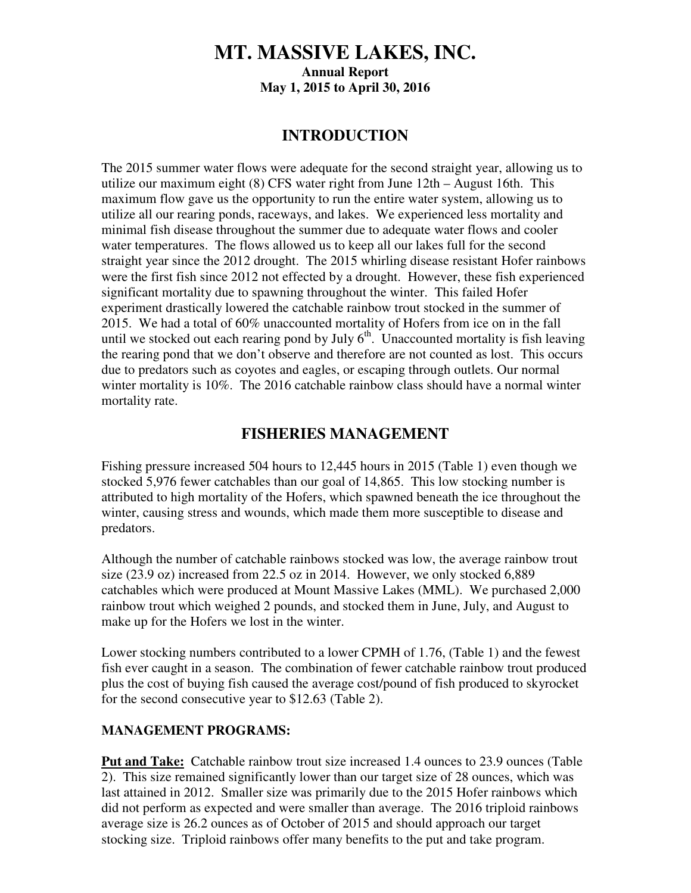## **MT. MASSIVE LAKES, INC. Annual Report May 1, 2015 to April 30, 2016**

#### **INTRODUCTION**

The 2015 summer water flows were adequate for the second straight year, allowing us to utilize our maximum eight (8) CFS water right from June 12th – August 16th. This maximum flow gave us the opportunity to run the entire water system, allowing us to utilize all our rearing ponds, raceways, and lakes. We experienced less mortality and minimal fish disease throughout the summer due to adequate water flows and cooler water temperatures. The flows allowed us to keep all our lakes full for the second straight year since the 2012 drought. The 2015 whirling disease resistant Hofer rainbows were the first fish since 2012 not effected by a drought. However, these fish experienced significant mortality due to spawning throughout the winter. This failed Hofer experiment drastically lowered the catchable rainbow trout stocked in the summer of 2015. We had a total of 60% unaccounted mortality of Hofers from ice on in the fall until we stocked out each rearing pond by July  $6<sup>th</sup>$ . Unaccounted mortality is fish leaving the rearing pond that we don't observe and therefore are not counted as lost. This occurs due to predators such as coyotes and eagles, or escaping through outlets. Our normal winter mortality is 10%. The 2016 catchable rainbow class should have a normal winter mortality rate.

#### **FISHERIES MANAGEMENT**

Fishing pressure increased 504 hours to 12,445 hours in 2015 (Table 1) even though we stocked 5,976 fewer catchables than our goal of 14,865. This low stocking number is attributed to high mortality of the Hofers, which spawned beneath the ice throughout the winter, causing stress and wounds, which made them more susceptible to disease and predators.

Although the number of catchable rainbows stocked was low, the average rainbow trout size (23.9 oz) increased from 22.5 oz in 2014. However, we only stocked 6,889 catchables which were produced at Mount Massive Lakes (MML). We purchased 2,000 rainbow trout which weighed 2 pounds, and stocked them in June, July, and August to make up for the Hofers we lost in the winter.

Lower stocking numbers contributed to a lower CPMH of 1.76, (Table 1) and the fewest fish ever caught in a season. The combination of fewer catchable rainbow trout produced plus the cost of buying fish caused the average cost/pound of fish produced to skyrocket for the second consecutive year to \$12.63 (Table 2).

#### **MANAGEMENT PROGRAMS:**

**Put and Take:** Catchable rainbow trout size increased 1.4 ounces to 23.9 ounces (Table 2). This size remained significantly lower than our target size of 28 ounces, which was last attained in 2012. Smaller size was primarily due to the 2015 Hofer rainbows which did not perform as expected and were smaller than average. The 2016 triploid rainbows average size is 26.2 ounces as of October of 2015 and should approach our target stocking size. Triploid rainbows offer many benefits to the put and take program.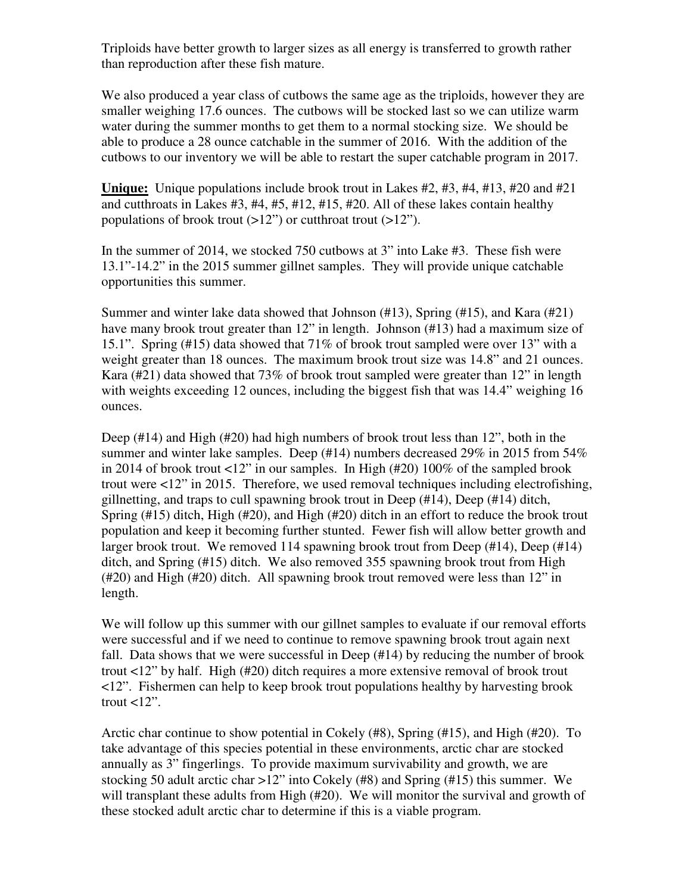Triploids have better growth to larger sizes as all energy is transferred to growth rather than reproduction after these fish mature.

We also produced a year class of cutbows the same age as the triploids, however they are smaller weighing 17.6 ounces. The cutbows will be stocked last so we can utilize warm water during the summer months to get them to a normal stocking size. We should be able to produce a 28 ounce catchable in the summer of 2016. With the addition of the cutbows to our inventory we will be able to restart the super catchable program in 2017.

**Unique:** Unique populations include brook trout in Lakes #2, #3, #4, #13, #20 and #21 and cutthroats in Lakes #3, #4, #5, #12, #15, #20. All of these lakes contain healthy populations of brook trout  $(>12)$ " or cutthroat trout  $(>12)$ ".

In the summer of 2014, we stocked 750 cutbows at 3" into Lake #3. These fish were 13.1"-14.2" in the 2015 summer gillnet samples. They will provide unique catchable opportunities this summer.

Summer and winter lake data showed that Johnson (#13), Spring (#15), and Kara (#21) have many brook trout greater than 12" in length. Johnson (#13) had a maximum size of 15.1". Spring (#15) data showed that 71% of brook trout sampled were over 13" with a weight greater than 18 ounces. The maximum brook trout size was 14.8" and 21 ounces. Kara (#21) data showed that 73% of brook trout sampled were greater than 12" in length with weights exceeding 12 ounces, including the biggest fish that was 14.4" weighing 16 ounces.

Deep (#14) and High (#20) had high numbers of brook trout less than 12", both in the summer and winter lake samples. Deep (#14) numbers decreased 29% in 2015 from 54% in 2014 of brook trout <12" in our samples. In High (#20) 100% of the sampled brook trout were <12" in 2015. Therefore, we used removal techniques including electrofishing, gillnetting, and traps to cull spawning brook trout in Deep  $(\#14)$ , Deep  $(\#14)$  ditch, Spring (#15) ditch, High (#20), and High (#20) ditch in an effort to reduce the brook trout population and keep it becoming further stunted. Fewer fish will allow better growth and larger brook trout. We removed 114 spawning brook trout from Deep (#14), Deep (#14) ditch, and Spring (#15) ditch. We also removed 355 spawning brook trout from High (#20) and High (#20) ditch. All spawning brook trout removed were less than 12" in length.

We will follow up this summer with our gillnet samples to evaluate if our removal efforts were successful and if we need to continue to remove spawning brook trout again next fall. Data shows that we were successful in Deep (#14) by reducing the number of brook trout <12" by half. High (#20) ditch requires a more extensive removal of brook trout <12". Fishermen can help to keep brook trout populations healthy by harvesting brook trout  $<12$ ".

Arctic char continue to show potential in Cokely (#8), Spring (#15), and High (#20). To take advantage of this species potential in these environments, arctic char are stocked annually as 3" fingerlings. To provide maximum survivability and growth, we are stocking 50 adult arctic char >12" into Cokely (#8) and Spring (#15) this summer. We will transplant these adults from High (#20). We will monitor the survival and growth of these stocked adult arctic char to determine if this is a viable program.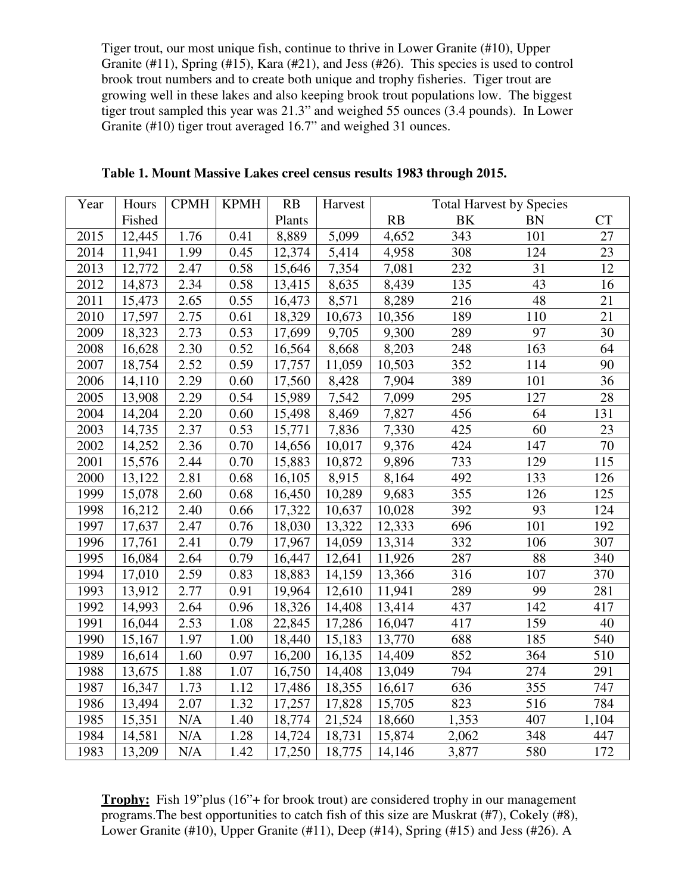Tiger trout, our most unique fish, continue to thrive in Lower Granite (#10), Upper Granite (#11), Spring (#15), Kara (#21), and Jess (#26). This species is used to control brook trout numbers and to create both unique and trophy fisheries. Tiger trout are growing well in these lakes and also keeping brook trout populations low. The biggest tiger trout sampled this year was 21.3" and weighed 55 ounces (3.4 pounds). In Lower Granite (#10) tiger trout averaged 16.7" and weighed 31 ounces.

| Year | Hours  | <b>CPMH</b>       | <b>KPMH</b> | RB     | Harvest | <b>Total Harvest by Species</b> |           |           |           |
|------|--------|-------------------|-------------|--------|---------|---------------------------------|-----------|-----------|-----------|
|      | Fished |                   |             | Plants |         | RB                              | <b>BK</b> | <b>BN</b> | <b>CT</b> |
| 2015 | 12,445 | 1.76              | 0.41        | 8,889  | 5,099   | 4,652                           | 343       | 101       | 27        |
| 2014 | 11,941 | 1.99              | 0.45        | 12,374 | 5,414   | 4,958                           | 308       | 124       | 23        |
| 2013 | 12,772 | 2.47              | 0.58        | 15,646 | 7,354   | 7,081                           | 232       | 31        | 12        |
| 2012 | 14,873 | 2.34              | 0.58        | 13,415 | 8,635   | 8,439                           | 135       | 43        | 16        |
| 2011 | 15,473 | 2.65              | 0.55        | 16,473 | 8,571   | 8,289                           | 216       | 48        | 21        |
| 2010 | 17,597 | 2.75              | 0.61        | 18,329 | 10,673  | 10,356                          | 189       | 110       | 21        |
| 2009 | 18,323 | 2.73              | 0.53        | 17,699 | 9,705   | 9,300                           | 289       | 97        | 30        |
| 2008 | 16,628 | 2.30              | 0.52        | 16,564 | 8,668   | 8,203                           | 248       | 163       | 64        |
| 2007 | 18,754 | 2.52              | 0.59        | 17,757 | 11,059  | 10,503                          | 352       | 114       | 90        |
| 2006 | 14,110 | $\overline{2.29}$ | 0.60        | 17,560 | 8,428   | 7,904                           | 389       | 101       | 36        |
| 2005 | 13,908 | 2.29              | 0.54        | 15,989 | 7,542   | 7,099                           | 295       | 127       | 28        |
| 2004 | 14,204 | 2.20              | 0.60        | 15,498 | 8,469   | 7,827                           | 456       | 64        | 131       |
| 2003 | 14,735 | 2.37              | 0.53        | 15,771 | 7,836   | 7,330                           | 425       | 60        | 23        |
| 2002 | 14,252 | 2.36              | 0.70        | 14,656 | 10,017  | 9,376                           | 424       | 147       | $70\,$    |
| 2001 | 15,576 | 2.44              | 0.70        | 15,883 | 10,872  | 9,896                           | 733       | 129       | 115       |
| 2000 | 13,122 | 2.81              | 0.68        | 16,105 | 8,915   | 8,164                           | 492       | 133       | 126       |
| 1999 | 15,078 | 2.60              | 0.68        | 16,450 | 10,289  | 9,683                           | 355       | 126       | 125       |
| 1998 | 16,212 | 2.40              | 0.66        | 17,322 | 10,637  | 10,028                          | 392       | 93        | 124       |
| 1997 | 17,637 | 2.47              | 0.76        | 18,030 | 13,322  | 12,333                          | 696       | 101       | 192       |
| 1996 | 17,761 | 2.41              | 0.79        | 17,967 | 14,059  | 13,314                          | 332       | 106       | 307       |
| 1995 | 16,084 | 2.64              | 0.79        | 16,447 | 12,641  | 11,926                          | 287       | 88        | 340       |
| 1994 | 17,010 | 2.59              | 0.83        | 18,883 | 14,159  | 13,366                          | 316       | 107       | 370       |
| 1993 | 13,912 | 2.77              | 0.91        | 19,964 | 12,610  | 11,941                          | 289       | 99        | 281       |
| 1992 | 14,993 | 2.64              | 0.96        | 18,326 | 14,408  | 13,414                          | 437       | 142       | 417       |
| 1991 | 16,044 | 2.53              | 1.08        | 22,845 | 17,286  | 16,047                          | 417       | 159       | 40        |
| 1990 | 15,167 | 1.97              | 1.00        | 18,440 | 15,183  | 13,770                          | 688       | 185       | 540       |
| 1989 | 16,614 | 1.60              | 0.97        | 16,200 | 16,135  | 14,409                          | 852       | 364       | 510       |
| 1988 | 13,675 | 1.88              | 1.07        | 16,750 | 14,408  | 13,049                          | 794       | 274       | 291       |
| 1987 | 16,347 | 1.73              | 1.12        | 17,486 | 18,355  | 16,617                          | 636       | 355       | 747       |
| 1986 | 13,494 | 2.07              | 1.32        | 17,257 | 17,828  | 15,705                          | 823       | 516       | 784       |
| 1985 | 15,351 | N/A               | 1.40        | 18,774 | 21,524  | 18,660                          | 1,353     | 407       | 1,104     |
| 1984 | 14,581 | N/A               | 1.28        | 14,724 | 18,731  | 15,874                          | 2,062     | 348       | 447       |
| 1983 | 13,209 | N/A               | 1.42        | 17,250 | 18,775  | 14,146                          | 3,877     | 580       | 172       |

**Table 1. Mount Massive Lakes creel census results 1983 through 2015.** 

**Trophy:** Fish 19"plus (16"+ for brook trout) are considered trophy in our management programs.The best opportunities to catch fish of this size are Muskrat (#7), Cokely (#8), Lower Granite (#10), Upper Granite (#11), Deep (#14), Spring (#15) and Jess (#26). A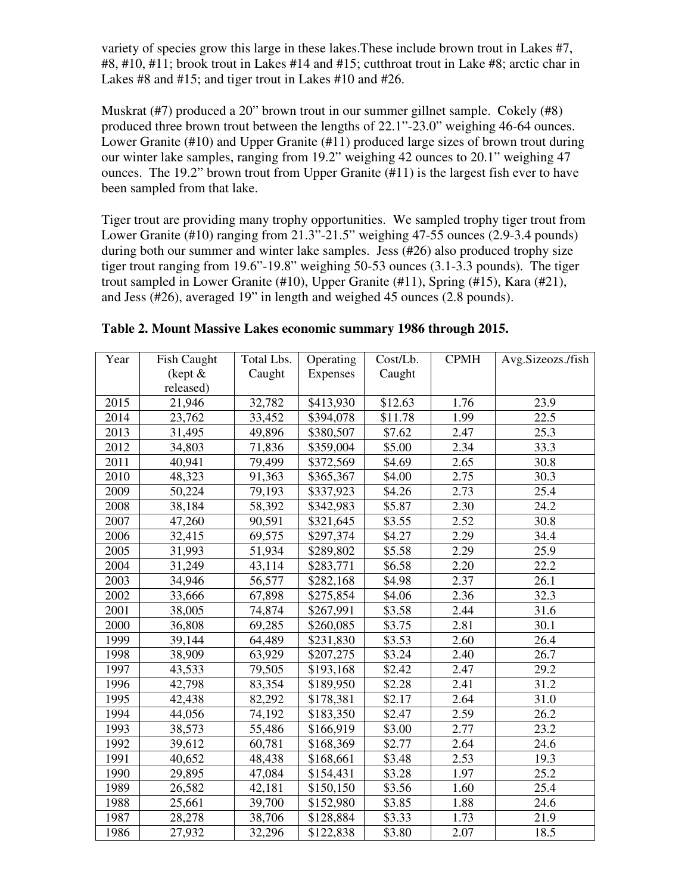variety of species grow this large in these lakes.These include brown trout in Lakes #7, #8, #10, #11; brook trout in Lakes #14 and #15; cutthroat trout in Lake #8; arctic char in Lakes #8 and #15; and tiger trout in Lakes #10 and #26.

Muskrat (#7) produced a 20" brown trout in our summer gillnet sample. Cokely (#8) produced three brown trout between the lengths of 22.1"-23.0" weighing 46-64 ounces. Lower Granite (#10) and Upper Granite (#11) produced large sizes of brown trout during our winter lake samples, ranging from 19.2" weighing 42 ounces to 20.1" weighing 47 ounces. The 19.2" brown trout from Upper Granite (#11) is the largest fish ever to have been sampled from that lake.

Tiger trout are providing many trophy opportunities. We sampled trophy tiger trout from Lower Granite (#10) ranging from 21.3"-21.5" weighing 47-55 ounces (2.9-3.4 pounds) during both our summer and winter lake samples. Jess (#26) also produced trophy size tiger trout ranging from 19.6"-19.8" weighing 50-53 ounces (3.1-3.3 pounds). The tiger trout sampled in Lower Granite (#10), Upper Granite (#11), Spring (#15), Kara (#21), and Jess (#26), averaged 19" in length and weighed 45 ounces (2.8 pounds).

| Year | <b>Fish Caught</b> | Total Lbs. | Operating | Cost/Lb.           | <b>CPMH</b> | Avg.Sizeozs./fish |
|------|--------------------|------------|-----------|--------------------|-------------|-------------------|
|      | (kept $&$          | Caught     | Expenses  | Caught             |             |                   |
|      | released)          |            |           |                    |             |                   |
| 2015 | 21,946             | 32,782     | \$413,930 | \$12.63            | 1.76        | 23.9              |
| 2014 | 23,762             | 33,452     | \$394,078 | \$11.78            | 1.99        | 22.5              |
| 2013 | 31,495             | 49,896     | \$380,507 | \$7.62             | 2.47        | 25.3              |
| 2012 | 34,803             | 71,836     | \$359,004 | \$5.00             | 2.34        | 33.3              |
| 2011 | 40,941             | 79,499     | \$372,569 | \$4.69             | 2.65        | 30.8              |
| 2010 | 48,323             | 91,363     | \$365,367 | \$4.00             | 2.75        | 30.3              |
| 2009 | 50,224             | 79,193     | \$337,923 | \$4.26             | 2.73        | 25.4              |
| 2008 | 38,184             | 58,392     | \$342,983 | \$5.87             | 2.30        | 24.2              |
| 2007 | 47,260             | 90,591     | \$321,645 | \$3.55             | 2.52        | 30.8              |
| 2006 | 32,415             | 69,575     | \$297,374 | \$4.27             | 2.29        | 34.4              |
| 2005 | 31,993             | 51,934     | \$289,802 | $\overline{$}5.58$ | 2.29        | 25.9              |
| 2004 | 31,249             | 43,114     | \$283,771 | \$6.58             | 2.20        | 22.2              |
| 2003 | 34,946             | 56,577     | \$282,168 | \$4.98             | 2.37        | 26.1              |
| 2002 | 33,666             | 67,898     | \$275,854 | \$4.06             | 2.36        | 32.3              |
| 2001 | 38,005             | 74,874     | \$267,991 | \$3.58             | 2.44        | 31.6              |
| 2000 | 36,808             | 69,285     | \$260,085 | \$3.75             | 2.81        | 30.1              |
| 1999 | 39,144             | 64,489     | \$231,830 | \$3.53             | 2.60        | 26.4              |
| 1998 | 38,909             | 63,929     | \$207,275 | \$3.24             | 2.40        | 26.7              |
| 1997 | 43,533             | 79,505     | \$193,168 | \$2.42             | 2.47        | 29.2              |
| 1996 | 42,798             | 83,354     | \$189,950 | \$2.28             | 2.41        | 31.2              |
| 1995 | 42,438             | 82,292     | \$178,381 | \$2.17             | 2.64        | 31.0              |
| 1994 | 44,056             | 74,192     | \$183,350 | \$2.47             | 2.59        | 26.2              |
| 1993 | 38,573             | 55,486     | \$166,919 | \$3.00             | 2.77        | 23.2              |
| 1992 | 39,612             | 60,781     | \$168,369 | \$2.77             | 2.64        | 24.6              |
| 1991 | 40,652             | 48,438     | \$168,661 | \$3.48             | 2.53        | 19.3              |
| 1990 | 29,895             | 47,084     | \$154,431 | \$3.28             | 1.97        | 25.2              |
| 1989 | 26,582             | 42,181     | \$150,150 | \$3.56             | 1.60        | 25.4              |
| 1988 | 25,661             | 39,700     | \$152,980 | \$3.85             | 1.88        | 24.6              |
| 1987 | 28,278             | 38,706     | \$128,884 | \$3.33             | 1.73        | 21.9              |
| 1986 | 27,932             | 32,296     | \$122,838 | \$3.80             | 2.07        | 18.5              |

| Table 2. Mount Massive Lakes economic summary 1986 through 2015. |  |  |  |  |
|------------------------------------------------------------------|--|--|--|--|
|------------------------------------------------------------------|--|--|--|--|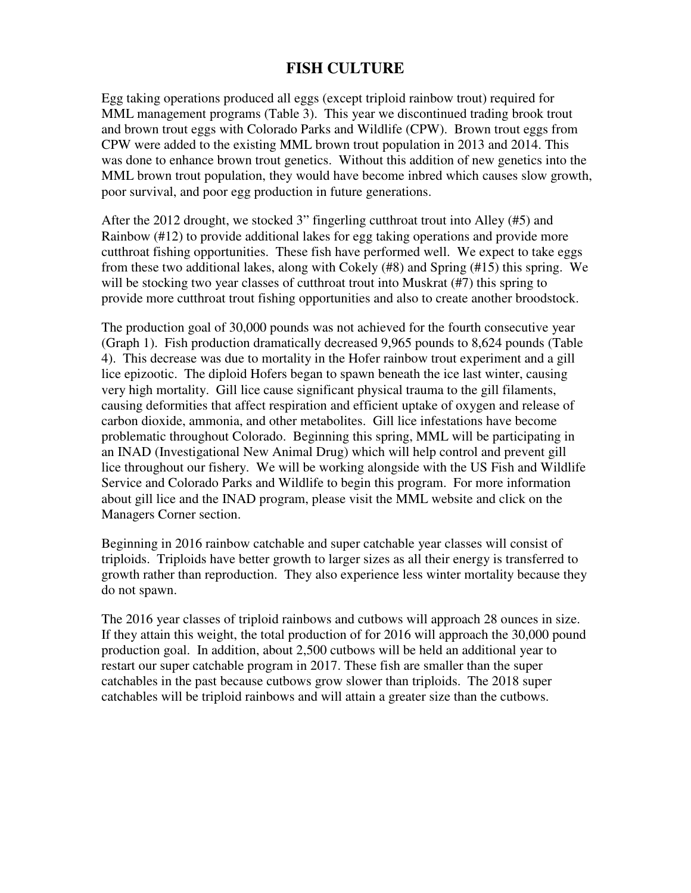### **FISH CULTURE**

Egg taking operations produced all eggs (except triploid rainbow trout) required for MML management programs (Table 3). This year we discontinued trading brook trout and brown trout eggs with Colorado Parks and Wildlife (CPW). Brown trout eggs from CPW were added to the existing MML brown trout population in 2013 and 2014. This was done to enhance brown trout genetics. Without this addition of new genetics into the MML brown trout population, they would have become inbred which causes slow growth, poor survival, and poor egg production in future generations.

After the 2012 drought, we stocked 3" fingerling cutthroat trout into Alley (#5) and Rainbow (#12) to provide additional lakes for egg taking operations and provide more cutthroat fishing opportunities. These fish have performed well. We expect to take eggs from these two additional lakes, along with Cokely (#8) and Spring (#15) this spring. We will be stocking two year classes of cutthroat trout into Muskrat (#7) this spring to provide more cutthroat trout fishing opportunities and also to create another broodstock.

The production goal of 30,000 pounds was not achieved for the fourth consecutive year (Graph 1). Fish production dramatically decreased 9,965 pounds to 8,624 pounds (Table 4). This decrease was due to mortality in the Hofer rainbow trout experiment and a gill lice epizootic. The diploid Hofers began to spawn beneath the ice last winter, causing very high mortality. Gill lice cause significant physical trauma to the gill filaments, causing deformities that affect respiration and efficient uptake of oxygen and release of carbon dioxide, ammonia, and other metabolites. Gill lice infestations have become problematic throughout Colorado. Beginning this spring, MML will be participating in an INAD (Investigational New Animal Drug) which will help control and prevent gill lice throughout our fishery. We will be working alongside with the US Fish and Wildlife Service and Colorado Parks and Wildlife to begin this program. For more information about gill lice and the INAD program, please visit the MML website and click on the Managers Corner section.

Beginning in 2016 rainbow catchable and super catchable year classes will consist of triploids. Triploids have better growth to larger sizes as all their energy is transferred to growth rather than reproduction. They also experience less winter mortality because they do not spawn.

The 2016 year classes of triploid rainbows and cutbows will approach 28 ounces in size. If they attain this weight, the total production of for 2016 will approach the 30,000 pound production goal. In addition, about 2,500 cutbows will be held an additional year to restart our super catchable program in 2017. These fish are smaller than the super catchables in the past because cutbows grow slower than triploids. The 2018 super catchables will be triploid rainbows and will attain a greater size than the cutbows.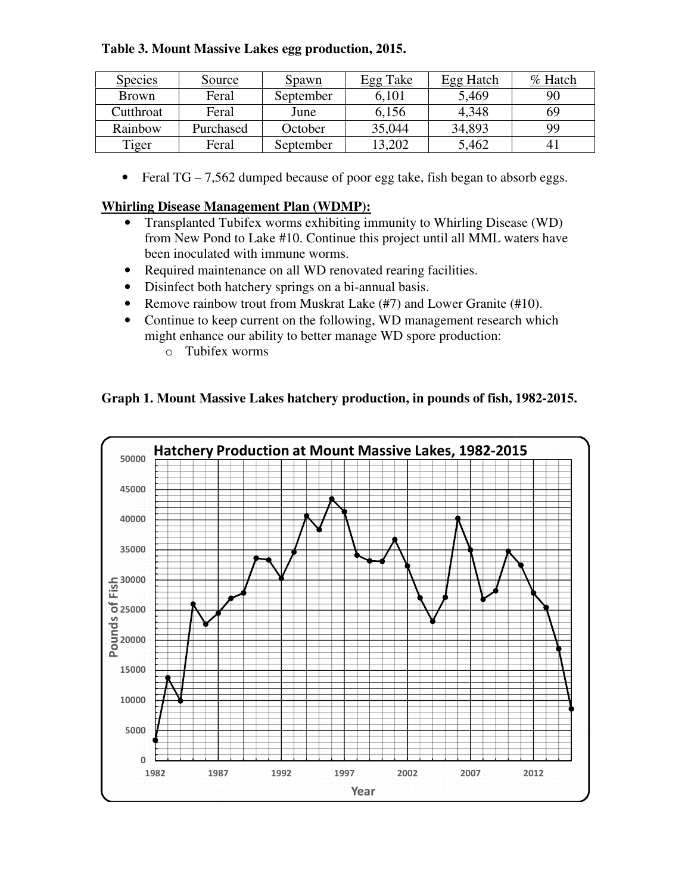#### **Table 3. Mount Massive Lakes egg production, 2015 ssive 2015.**

| <u>Species</u> | Source    | <u>Spawn</u> | Egg Take | <b>Egg Hatch</b> | $\%$ Hatch     |
|----------------|-----------|--------------|----------|------------------|----------------|
| <b>Brown</b>   | Feral     | September    | 6,101    | 5,469            | 90             |
| Cutthroat      | Feral     | June         | 6,156    | 4,348            | 69             |
| Rainbow        | Purchased | October      | 35,044   | 34,893           | 99             |
| Tiger          | Feral     | September    | 13,202   | 5,462            | $\overline{4}$ |

• Feral TG – 7,562 dumped because of poor egg take, fish began to absorb eggs.

#### **Whirling Disease Management Plan (WDMP):**

- Transplanted Tubifex worms exhibiting immunity to Whirling Disease (WD) from New Pond to Lake #10. Continue this project until all MML waters have been inoculated with immune worms.
- Required maintenance on all WD renovated rearing facilities.
- Disinfect both hatchery springs on a bi-annual basis.
- Remove rainbow trout from Muskrat Lake  $(\text{\#}7)$  and Lower Granite  $(\text{\#}10)$ .
- Continue to keep current on the following, WD management research which Continue to keep current on the following, WD management resea might enhance our ability to better manage WD spore production:
	- o Tubifex worms

#### **Graph 1. Mount Massive Lakes Lakes hatchery production, in pounds of fish, 1982 1982-2015.**

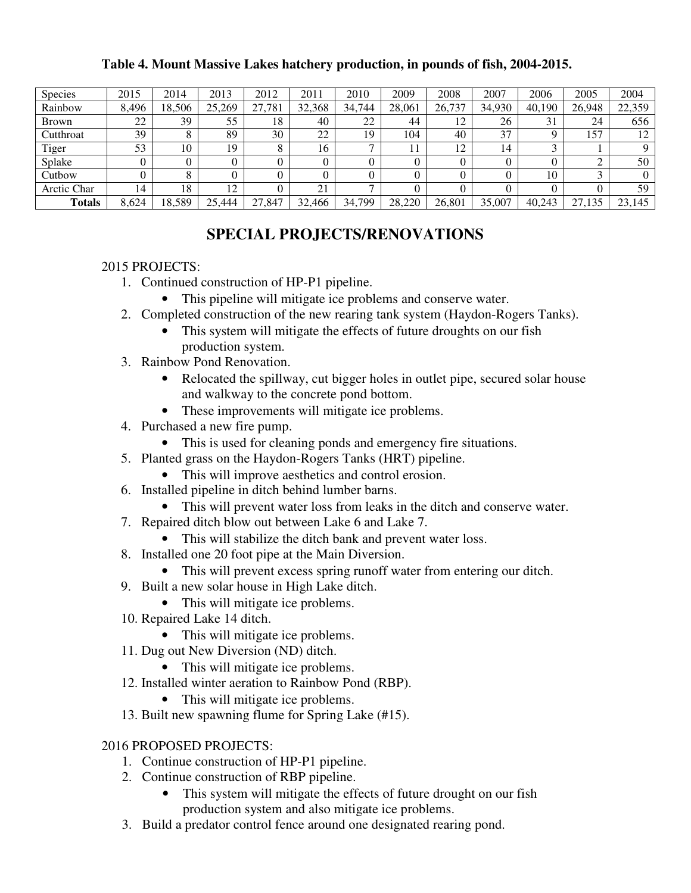#### **Table 4. Mount Massive Lakes hatchery production, in pounds of fish, 2004-2015.**

| <b>Species</b> | 2015  | 2014   | 2013   | 2012   | 2011   | 2010         | 2009   | 2008   | 2007   | 2006   | 2005   | 2004   |
|----------------|-------|--------|--------|--------|--------|--------------|--------|--------|--------|--------|--------|--------|
| Rainbow        | 8,496 | 18,506 | 25,269 | 27,781 | 32,368 | 34,744       | 28,061 | 26,737 | 34,930 | 40,190 | 26,948 | 22,359 |
| <b>Brown</b>   | 22    | 39     | 55     | 18     | 40     | 22           | 44     | 12     | 26     | 31     | 24     | 656    |
| Cutthroat      | 39    |        | 89     | 30     | 22     | 19           | 104    | 40     | 37     |        | 157    | 12     |
| Tiger          | 53    | 10     | 19     |        | 16     | ⇁            |        | 12     | 14     |        |        |        |
| Splake         |       |        |        |        |        |              |        |        |        |        |        | 50     |
| Cutbow         |       |        |        |        |        |              |        |        |        | 10     | $\sim$ |        |
| Arctic Char    | 14    | 18     | 12     |        | 21     | $\mathbf{r}$ | 0      |        |        |        |        | 59     |
| <b>Totals</b>  | 8,624 | 18,589 | 25.444 | 27,847 | 32,466 | 34,799       | 28,220 | 26,801 | 35,007 | 40,243 | 27,135 | 23,145 |

## **SPECIAL PROJECTS/RENOVATIONS**

#### 2015 PROJECTS:

- 1. Continued construction of HP-P1 pipeline.
	- This pipeline will mitigate ice problems and conserve water.
- 2. Completed construction of the new rearing tank system (Haydon-Rogers Tanks).
	- This system will mitigate the effects of future droughts on our fish production system.
- 3. Rainbow Pond Renovation.
	- Relocated the spillway, cut bigger holes in outlet pipe, secured solar house and walkway to the concrete pond bottom.
	- These improvements will mitigate ice problems.
- 4. Purchased a new fire pump.
	- This is used for cleaning ponds and emergency fire situations.
- 5. Planted grass on the Haydon-Rogers Tanks (HRT) pipeline.
	- This will improve aesthetics and control erosion.
- 6. Installed pipeline in ditch behind lumber barns.
	- This will prevent water loss from leaks in the ditch and conserve water.
- 7. Repaired ditch blow out between Lake 6 and Lake 7.
	- This will stabilize the ditch bank and prevent water loss.
- 8. Installed one 20 foot pipe at the Main Diversion.
	- This will prevent excess spring runoff water from entering our ditch.
- 9. Built a new solar house in High Lake ditch.
	- This will mitigate ice problems.
- 10. Repaired Lake 14 ditch.
	- This will mitigate ice problems.
- 11. Dug out New Diversion (ND) ditch.
	- This will mitigate ice problems.
- 12. Installed winter aeration to Rainbow Pond (RBP).
	- This will mitigate ice problems.
- 13. Built new spawning flume for Spring Lake (#15).

#### 2016 PROPOSED PROJECTS:

- 1. Continue construction of HP-P1 pipeline.
- 2. Continue construction of RBP pipeline.
	- This system will mitigate the effects of future drought on our fish production system and also mitigate ice problems.
- 3. Build a predator control fence around one designated rearing pond.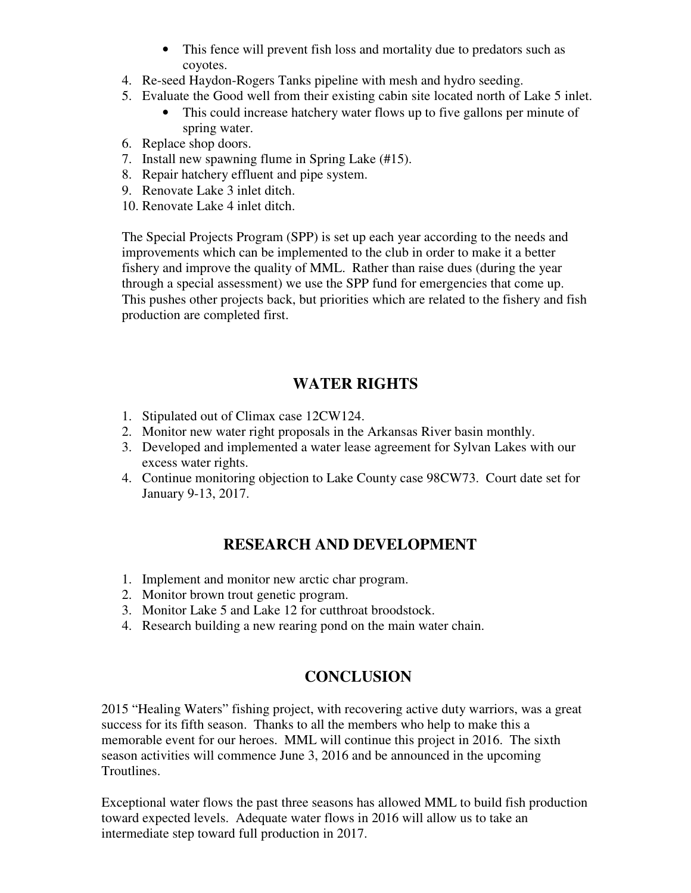- This fence will prevent fish loss and mortality due to predators such as coyotes.
- 4. Re-seed Haydon-Rogers Tanks pipeline with mesh and hydro seeding.
- 5. Evaluate the Good well from their existing cabin site located north of Lake 5 inlet.
	- This could increase hatchery water flows up to five gallons per minute of spring water.
- 6. Replace shop doors.
- 7. Install new spawning flume in Spring Lake (#15).
- 8. Repair hatchery effluent and pipe system.
- 9. Renovate Lake 3 inlet ditch.
- 10. Renovate Lake 4 inlet ditch.

The Special Projects Program (SPP) is set up each year according to the needs and improvements which can be implemented to the club in order to make it a better fishery and improve the quality of MML. Rather than raise dues (during the year through a special assessment) we use the SPP fund for emergencies that come up. This pushes other projects back, but priorities which are related to the fishery and fish production are completed first.

## **WATER RIGHTS**

- 1. Stipulated out of Climax case 12CW124.
- 2. Monitor new water right proposals in the Arkansas River basin monthly.
- 3. Developed and implemented a water lease agreement for Sylvan Lakes with our excess water rights.
- 4. Continue monitoring objection to Lake County case 98CW73. Court date set for January 9-13, 2017.

## **RESEARCH AND DEVELOPMENT**

- 1. Implement and monitor new arctic char program.
- 2. Monitor brown trout genetic program.
- 3. Monitor Lake 5 and Lake 12 for cutthroat broodstock.
- 4. Research building a new rearing pond on the main water chain.

## **CONCLUSION**

2015 "Healing Waters" fishing project, with recovering active duty warriors, was a great success for its fifth season. Thanks to all the members who help to make this a memorable event for our heroes. MML will continue this project in 2016. The sixth season activities will commence June 3, 2016 and be announced in the upcoming Troutlines.

Exceptional water flows the past three seasons has allowed MML to build fish production toward expected levels. Adequate water flows in 2016 will allow us to take an intermediate step toward full production in 2017.